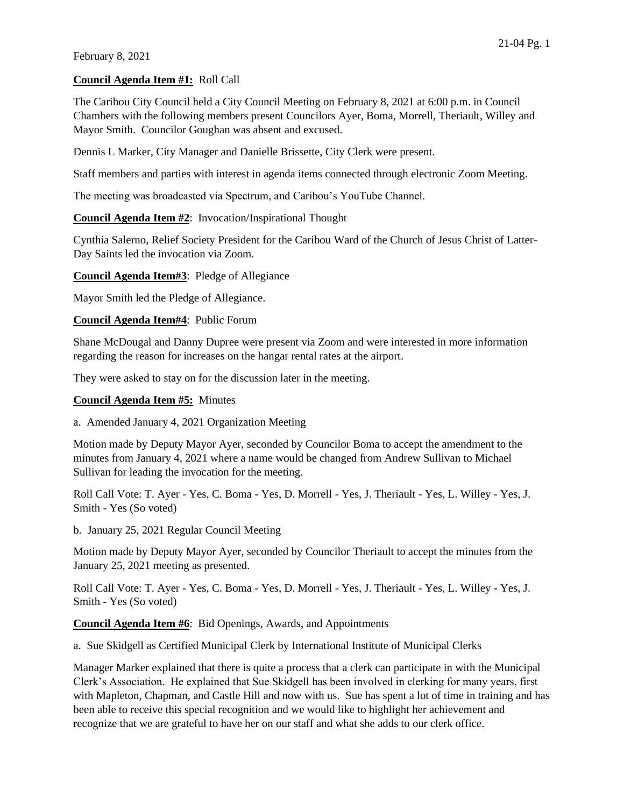## **Council Agenda Item #1:** Roll Call

The Caribou City Council held a City Council Meeting on February 8, 2021 at 6:00 p.m. in Council Chambers with the following members present Councilors Ayer, Boma, Morrell, Theriault, Willey and Mayor Smith. Councilor Goughan was absent and excused.

Dennis L Marker, City Manager and Danielle Brissette, City Clerk were present.

Staff members and parties with interest in agenda items connected through electronic Zoom Meeting.

The meeting was broadcasted via Spectrum, and Caribou's YouTube Channel.

# **Council Agenda Item #2**: Invocation/Inspirational Thought

Cynthia Salerno, Relief Society President for the Caribou Ward of the Church of Jesus Christ of Latter-Day Saints led the invocation via Zoom.

**Council Agenda Item#3**: Pledge of Allegiance

Mayor Smith led the Pledge of Allegiance.

## **Council Agenda Item#4**: Public Forum

Shane McDougal and Danny Dupree were present via Zoom and were interested in more information regarding the reason for increases on the hangar rental rates at the airport.

They were asked to stay on for the discussion later in the meeting.

# **Council Agenda Item #5:** Minutes

a. Amended January 4, 2021 Organization Meeting

Motion made by Deputy Mayor Ayer, seconded by Councilor Boma to accept the amendment to the minutes from January 4, 2021 where a name would be changed from Andrew Sullivan to Michael Sullivan for leading the invocation for the meeting.

Roll Call Vote: T. Ayer - Yes, C. Boma - Yes, D. Morrell - Yes, J. Theriault - Yes, L. Willey - Yes, J. Smith - Yes (So voted)

b. January 25, 2021 Regular Council Meeting

Motion made by Deputy Mayor Ayer, seconded by Councilor Theriault to accept the minutes from the January 25, 2021 meeting as presented.

Roll Call Vote: T. Ayer - Yes, C. Boma - Yes, D. Morrell - Yes, J. Theriault - Yes, L. Willey - Yes, J. Smith - Yes (So voted)

**Council Agenda Item #6**: Bid Openings, Awards, and Appointments

a. Sue Skidgell as Certified Municipal Clerk by International Institute of Municipal Clerks

Manager Marker explained that there is quite a process that a clerk can participate in with the Municipal Clerk's Association. He explained that Sue Skidgell has been involved in clerking for many years, first with Mapleton, Chapman, and Castle Hill and now with us. Sue has spent a lot of time in training and has been able to receive this special recognition and we would like to highlight her achievement and recognize that we are grateful to have her on our staff and what she adds to our clerk office.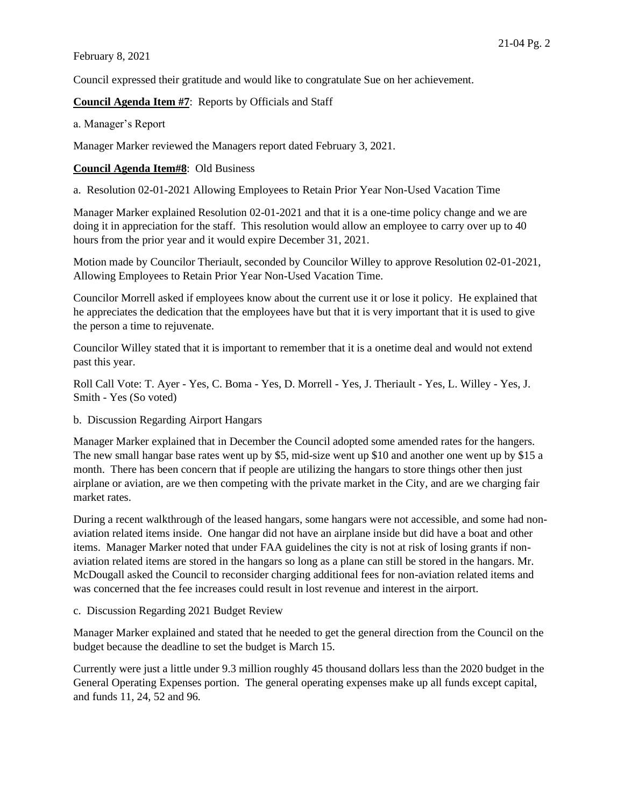Council expressed their gratitude and would like to congratulate Sue on her achievement.

# **Council Agenda Item #7**: Reports by Officials and Staff

a. Manager's Report

Manager Marker reviewed the Managers report dated February 3, 2021.

# **Council Agenda Item#8**: Old Business

a. Resolution 02-01-2021 Allowing Employees to Retain Prior Year Non-Used Vacation Time

Manager Marker explained Resolution 02-01-2021 and that it is a one-time policy change and we are doing it in appreciation for the staff. This resolution would allow an employee to carry over up to 40 hours from the prior year and it would expire December 31, 2021.

Motion made by Councilor Theriault, seconded by Councilor Willey to approve Resolution 02-01-2021, Allowing Employees to Retain Prior Year Non-Used Vacation Time.

Councilor Morrell asked if employees know about the current use it or lose it policy. He explained that he appreciates the dedication that the employees have but that it is very important that it is used to give the person a time to rejuvenate.

Councilor Willey stated that it is important to remember that it is a onetime deal and would not extend past this year.

Roll Call Vote: T. Ayer - Yes, C. Boma - Yes, D. Morrell - Yes, J. Theriault - Yes, L. Willey - Yes, J. Smith - Yes (So voted)

b. Discussion Regarding Airport Hangars

Manager Marker explained that in December the Council adopted some amended rates for the hangers. The new small hangar base rates went up by \$5, mid-size went up \$10 and another one went up by \$15 a month. There has been concern that if people are utilizing the hangars to store things other then just airplane or aviation, are we then competing with the private market in the City, and are we charging fair market rates.

During a recent walkthrough of the leased hangars, some hangars were not accessible, and some had nonaviation related items inside. One hangar did not have an airplane inside but did have a boat and other items. Manager Marker noted that under FAA guidelines the city is not at risk of losing grants if nonaviation related items are stored in the hangars so long as a plane can still be stored in the hangars. Mr. McDougall asked the Council to reconsider charging additional fees for non-aviation related items and was concerned that the fee increases could result in lost revenue and interest in the airport.

c. Discussion Regarding 2021 Budget Review

Manager Marker explained and stated that he needed to get the general direction from the Council on the budget because the deadline to set the budget is March 15.

Currently were just a little under 9.3 million roughly 45 thousand dollars less than the 2020 budget in the General Operating Expenses portion. The general operating expenses make up all funds except capital, and funds 11, 24, 52 and 96.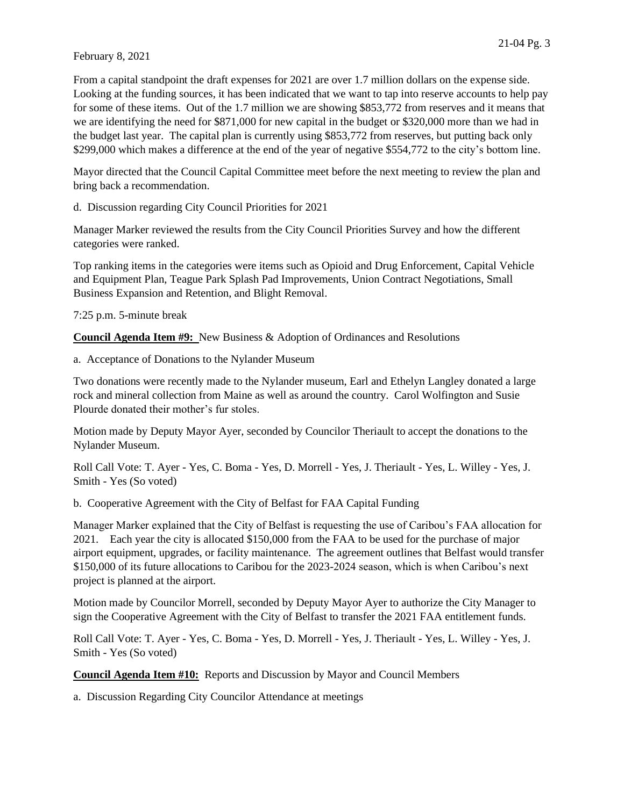From a capital standpoint the draft expenses for 2021 are over 1.7 million dollars on the expense side. Looking at the funding sources, it has been indicated that we want to tap into reserve accounts to help pay for some of these items. Out of the 1.7 million we are showing \$853,772 from reserves and it means that we are identifying the need for \$871,000 for new capital in the budget or \$320,000 more than we had in the budget last year. The capital plan is currently using \$853,772 from reserves, but putting back only \$299,000 which makes a difference at the end of the year of negative \$554,772 to the city's bottom line.

Mayor directed that the Council Capital Committee meet before the next meeting to review the plan and bring back a recommendation.

d. Discussion regarding City Council Priorities for 2021

Manager Marker reviewed the results from the City Council Priorities Survey and how the different categories were ranked.

Top ranking items in the categories were items such as Opioid and Drug Enforcement, Capital Vehicle and Equipment Plan, Teague Park Splash Pad Improvements, Union Contract Negotiations, Small Business Expansion and Retention, and Blight Removal.

7:25 p.m. 5-minute break

**Council Agenda Item #9:** New Business & Adoption of Ordinances and Resolutions

a. Acceptance of Donations to the Nylander Museum

Two donations were recently made to the Nylander museum, Earl and Ethelyn Langley donated a large rock and mineral collection from Maine as well as around the country. Carol Wolfington and Susie Plourde donated their mother's fur stoles.

Motion made by Deputy Mayor Ayer, seconded by Councilor Theriault to accept the donations to the Nylander Museum.

Roll Call Vote: T. Ayer - Yes, C. Boma - Yes, D. Morrell - Yes, J. Theriault - Yes, L. Willey - Yes, J. Smith - Yes (So voted)

b. Cooperative Agreement with the City of Belfast for FAA Capital Funding

Manager Marker explained that the City of Belfast is requesting the use of Caribou's FAA allocation for 2021. Each year the city is allocated \$150,000 from the FAA to be used for the purchase of major airport equipment, upgrades, or facility maintenance. The agreement outlines that Belfast would transfer \$150,000 of its future allocations to Caribou for the 2023-2024 season, which is when Caribou's next project is planned at the airport.

Motion made by Councilor Morrell, seconded by Deputy Mayor Ayer to authorize the City Manager to sign the Cooperative Agreement with the City of Belfast to transfer the 2021 FAA entitlement funds.

Roll Call Vote: T. Ayer - Yes, C. Boma - Yes, D. Morrell - Yes, J. Theriault - Yes, L. Willey - Yes, J. Smith - Yes (So voted)

**Council Agenda Item #10:** Reports and Discussion by Mayor and Council Members

a. Discussion Regarding City Councilor Attendance at meetings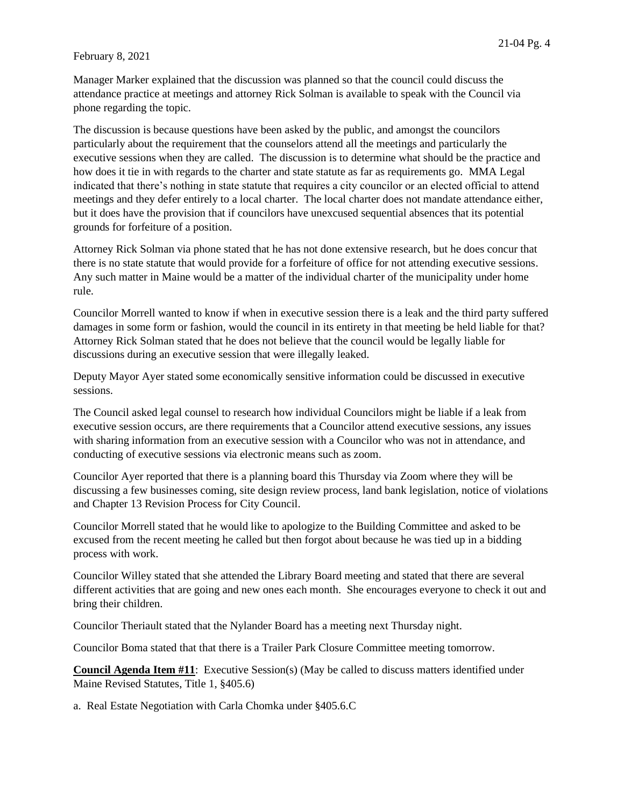Manager Marker explained that the discussion was planned so that the council could discuss the attendance practice at meetings and attorney Rick Solman is available to speak with the Council via phone regarding the topic.

The discussion is because questions have been asked by the public, and amongst the councilors particularly about the requirement that the counselors attend all the meetings and particularly the executive sessions when they are called. The discussion is to determine what should be the practice and how does it tie in with regards to the charter and state statute as far as requirements go. MMA Legal indicated that there's nothing in state statute that requires a city councilor or an elected official to attend meetings and they defer entirely to a local charter. The local charter does not mandate attendance either, but it does have the provision that if councilors have unexcused sequential absences that its potential grounds for forfeiture of a position.

Attorney Rick Solman via phone stated that he has not done extensive research, but he does concur that there is no state statute that would provide for a forfeiture of office for not attending executive sessions. Any such matter in Maine would be a matter of the individual charter of the municipality under home rule.

Councilor Morrell wanted to know if when in executive session there is a leak and the third party suffered damages in some form or fashion, would the council in its entirety in that meeting be held liable for that? Attorney Rick Solman stated that he does not believe that the council would be legally liable for discussions during an executive session that were illegally leaked.

Deputy Mayor Ayer stated some economically sensitive information could be discussed in executive sessions.

The Council asked legal counsel to research how individual Councilors might be liable if a leak from executive session occurs, are there requirements that a Councilor attend executive sessions, any issues with sharing information from an executive session with a Councilor who was not in attendance, and conducting of executive sessions via electronic means such as zoom.

Councilor Ayer reported that there is a planning board this Thursday via Zoom where they will be discussing a few businesses coming, site design review process, land bank legislation, notice of violations and Chapter 13 Revision Process for City Council.

Councilor Morrell stated that he would like to apologize to the Building Committee and asked to be excused from the recent meeting he called but then forgot about because he was tied up in a bidding process with work.

Councilor Willey stated that she attended the Library Board meeting and stated that there are several different activities that are going and new ones each month. She encourages everyone to check it out and bring their children.

Councilor Theriault stated that the Nylander Board has a meeting next Thursday night.

Councilor Boma stated that that there is a Trailer Park Closure Committee meeting tomorrow.

**Council Agenda Item #11**: Executive Session(s) (May be called to discuss matters identified under Maine Revised Statutes, Title 1, §405.6)

a. Real Estate Negotiation with Carla Chomka under §405.6.C